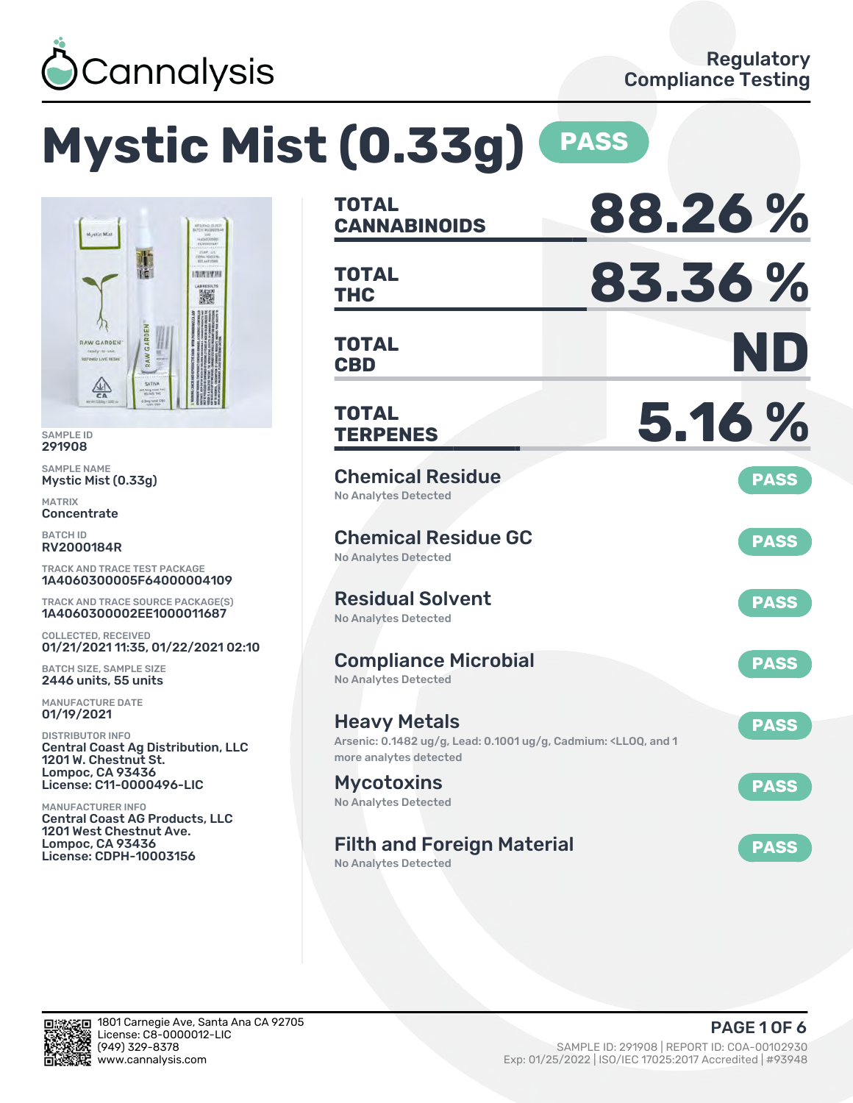

# **Mystic Mist (0.33g) PASS**



SAMPLE ID 291908

SAMPLE NAME Mystic Mist (0.33g)

MATRIX **Concentrate** 

BATCH ID RV2000184R

TRACK AND TRACE TEST PACKAGE 1A4060300005F64000004109

TRACK AND TRACE SOURCE PACKAGE(S) 1A4060300002EE1000011687

COLLECTED, RECEIVED 01/21/2021 11:35, 01/22/2021 02:10

BATCH SIZE, SAMPLE SIZE 2446 units, 55 units

MANUFACTURE DATE 01/19/2021

DISTRIBUTOR INFO Central Coast Ag Distribution, LLC 1201 W. Chestnut St. Lompoc, CA 93436 License: C11-0000496-LIC

MANUFACTURER INFO Central Coast AG Products, LLC 1201 West Chestnut Ave. Lompoc, CA 93436 License: CDPH-10003156

| <b>TOTAL</b><br><b>CANNABINOIDS</b>                                                                                           | 88.26%      |
|-------------------------------------------------------------------------------------------------------------------------------|-------------|
| <b>TOTAL</b><br><b>THC</b>                                                                                                    | 83.36%      |
| <b>TOTAL</b><br><b>CBD</b>                                                                                                    | ND          |
| TOTAL<br><b>TERPENES</b>                                                                                                      | 5.16 %      |
| <b>Chemical Residue</b><br><b>No Analytes Detected</b>                                                                        | <b>PASS</b> |
| <b>Chemical Residue GC</b><br><b>No Analytes Detected</b>                                                                     | <b>PASS</b> |
| <b>Residual Solvent</b><br><b>No Analytes Detected</b>                                                                        | <b>PASS</b> |
| <b>Compliance Microbial</b><br><b>No Analytes Detected</b>                                                                    | <b>PASS</b> |
| <b>Heavy Metals</b><br>Arsenic: 0.1482 ug/g, Lead: 0.1001 ug/g, Cadmium: <ll0q, 1<br="" and="">more analytes detected</ll0q,> | <b>PASS</b> |
| <b>Mycotoxins</b><br>No Analytes Detected                                                                                     | <b>PASS</b> |
| <b>Filth and Foreign Material</b>                                                                                             | <b>PASS</b> |

No Analytes Detected

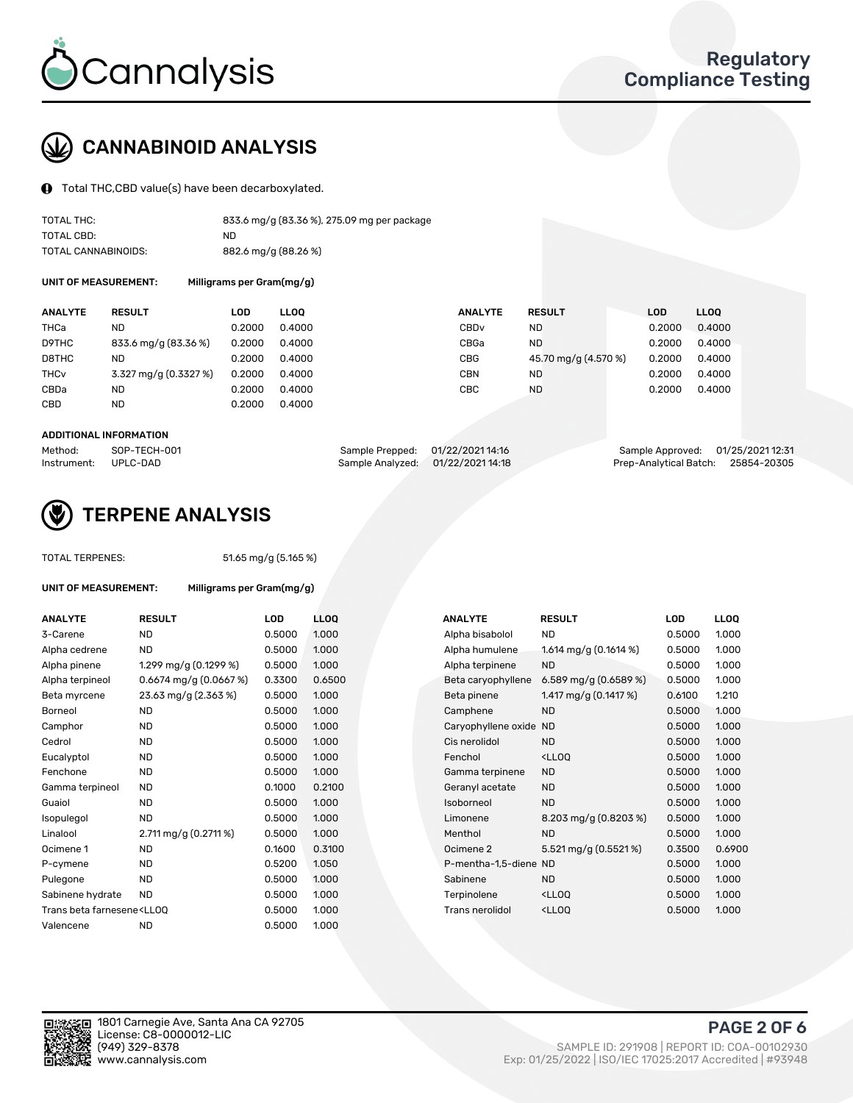

# CANNABINOID ANALYSIS

Total THC,CBD value(s) have been decarboxylated.

| TOTAL THC:          | 833.6 mg/g (83.36 %), 275.09 mg per package |
|---------------------|---------------------------------------------|
| TOTAL CBD:          | ND.                                         |
| TOTAL CANNABINOIDS: | 882.6 mg/g (88.26 %)                        |

UNIT OF MEASUREMENT: Milligrams per Gram(mg/g)

| <b>ANALYTE</b>         | <b>RESULT</b>         | LOD    | <b>LLOO</b> | <b>ANALYTE</b>   | <b>RESULT</b>        | LOD    | LL <sub>00</sub> |
|------------------------|-----------------------|--------|-------------|------------------|----------------------|--------|------------------|
| THCa                   | ND                    | 0.2000 | 0.4000      | CBD <sub>v</sub> | <b>ND</b>            | 0.2000 | 0.4000           |
| D9THC                  | 833.6 mg/g (83.36 %)  | 0.2000 | 0.4000      | CBGa             | <b>ND</b>            | 0.2000 | 0.4000           |
| D8THC                  | ND                    | 0.2000 | 0.4000      | <b>CBG</b>       | 45.70 mg/g (4.570 %) | 0.2000 | 0.4000           |
| <b>THC<sub>v</sub></b> | 3.327 mg/g (0.3327 %) | 0.2000 | 0.4000      | CBN              | ND                   | 0.2000 | 0.4000           |
| CBDa                   | ND                    | 0.2000 | 0.4000      | CBC              | <b>ND</b>            | 0.2000 | 0.4000           |
| CBD                    | ND                    | 0.2000 | 0.4000      |                  |                      |        |                  |

#### ADDITIONAL INFORMATION

| Method:              | SOP-TECH-001 | Sample Prepped: 01/22/2021 14:16  | Sample Approved: 01/25/2021 12:31  |  |
|----------------------|--------------|-----------------------------------|------------------------------------|--|
| Instrument: UPLC-DAD |              | Sample Analyzed: 01/22/2021 14:18 | Prep-Analytical Batch: 25854-20305 |  |



## TERPENE ANALYSIS

| <b>TOTAL TERPENES:</b>                                                           |                           | 51.65 mg/g (5.165 %) |             |  |  |  |
|----------------------------------------------------------------------------------|---------------------------|----------------------|-------------|--|--|--|
| UNIT OF MEASUREMENT:                                                             | Milligrams per Gram(mg/g) |                      |             |  |  |  |
| <b>ANALYTE</b>                                                                   | <b>RESULT</b>             | LOD                  | <b>LLOO</b> |  |  |  |
| 3-Carene                                                                         | ND.                       | 0.5000               | 1.000       |  |  |  |
| Alpha cedrene                                                                    | <b>ND</b>                 | 0.5000               | 1.000       |  |  |  |
| Alpha pinene                                                                     | 1.299 mg/g $(0.1299\%)$   | 0.5000               | 1.000       |  |  |  |
| Alpha terpineol                                                                  | $0.6674$ mg/g $(0.0667%)$ | 0.3300               | 0.650       |  |  |  |
| Beta myrcene                                                                     | 23.63 mg/g (2.363 %)      | 0.5000               | 1.000       |  |  |  |
| Borneol                                                                          | N <sub>D</sub>            | 0.5000               | 1.000       |  |  |  |
| Camphor                                                                          | <b>ND</b>                 | 0.5000               | 1.000       |  |  |  |
| Cedrol                                                                           | <b>ND</b>                 | 0.5000               | 1.000       |  |  |  |
| Eucalyptol                                                                       | <b>ND</b>                 | 0.5000               | 1.000       |  |  |  |
| Fenchone                                                                         | <b>ND</b>                 | 0.5000               | 1.000       |  |  |  |
| Gamma terpineol                                                                  | <b>ND</b>                 | 0.1000               | 0.210       |  |  |  |
| Guaiol                                                                           | <b>ND</b>                 | 0.5000               | 1.000       |  |  |  |
| Isopulegol                                                                       | <b>ND</b>                 | 0.5000               | 1.000       |  |  |  |
| Linalool                                                                         | 2.711 mg/g $(0.2711\%)$   | 0.5000               | 1.000       |  |  |  |
| Ocimene 1                                                                        | <b>ND</b>                 | 0.1600               | 0.310       |  |  |  |
| P-cymene                                                                         | <b>ND</b>                 | 0.5200               | 1.050       |  |  |  |
| Pulegone                                                                         | <b>ND</b>                 | 0.5000               | 1.000       |  |  |  |
| Sabinene hydrate                                                                 | <b>ND</b>                 | 0.5000               | 1.000       |  |  |  |
| Trans beta farnesene <ll00< td=""><td></td><td>0.5000</td><td>1.000</td></ll00<> |                           | 0.5000               | 1.000       |  |  |  |
| Valencene                                                                        | <b>ND</b>                 | 0.5000               | 1.000       |  |  |  |
|                                                                                  |                           |                      |             |  |  |  |

| <b>ANALYTE</b>                                                                                                                                                      | <b>RESULT</b>             | <b>LOD</b> | <b>LLOQ</b> | <b>ANALYTE</b>         | <b>RESULT</b>                                      | LOD    | <b>LLOQ</b> |
|---------------------------------------------------------------------------------------------------------------------------------------------------------------------|---------------------------|------------|-------------|------------------------|----------------------------------------------------|--------|-------------|
| 3-Carene                                                                                                                                                            | <b>ND</b>                 | 0.5000     | 1.000       | Alpha bisabolol        | ND                                                 | 0.5000 | 1.000       |
| Alpha cedrene                                                                                                                                                       | <b>ND</b>                 | 0.5000     | 1.000       | Alpha humulene         | 1.614 mg/g $(0.1614\%)$                            | 0.5000 | 1.000       |
| Alpha pinene                                                                                                                                                        | 1.299 mg/g $(0.1299\%)$   | 0.5000     | 1.000       | Alpha terpinene        | <b>ND</b>                                          | 0.5000 | 1.000       |
| Alpha terpineol                                                                                                                                                     | $0.6674$ mg/g $(0.0667%)$ | 0.3300     | 0.6500      | Beta caryophyllene     | 6.589 mg/g $(0.6589\%)$                            | 0.5000 | 1.000       |
| Beta myrcene                                                                                                                                                        | 23.63 mg/g (2.363 %)      | 0.5000     | 1.000       | Beta pinene            | 1.417 mg/g $(0.1417%)$                             | 0.6100 | 1.210       |
| Borneol                                                                                                                                                             | ND.                       | 0.5000     | 1.000       | Camphene               | <b>ND</b>                                          | 0.5000 | 1.000       |
| Camphor                                                                                                                                                             | <b>ND</b>                 | 0.5000     | 1.000       | Caryophyllene oxide ND |                                                    | 0.5000 | 1.000       |
| Cedrol                                                                                                                                                              | <b>ND</b>                 | 0.5000     | 1.000       | Cis nerolidol          | <b>ND</b>                                          | 0.5000 | 1.000       |
| Eucalyptol                                                                                                                                                          | <b>ND</b>                 | 0.5000     | 1.000       | Fenchol                | <lloq< td=""><td>0.5000</td><td>1.000</td></lloq<> | 0.5000 | 1.000       |
| Fenchone                                                                                                                                                            | <b>ND</b>                 | 0.5000     | 1.000       | Gamma terpinene        | <b>ND</b>                                          | 0.5000 | 1.000       |
| Gamma terpineol                                                                                                                                                     | <b>ND</b>                 | 0.1000     | 0.2100      | Geranyl acetate        | <b>ND</b>                                          | 0.5000 | 1.000       |
| Guaiol                                                                                                                                                              | <b>ND</b>                 | 0.5000     | 1.000       | Isoborneol             | <b>ND</b>                                          | 0.5000 | 1.000       |
| Isopulegol                                                                                                                                                          | <b>ND</b>                 | 0.5000     | 1.000       | Limonene               | 8.203 mg/g $(0.8203\%)$                            | 0.5000 | 1.000       |
| Linalool                                                                                                                                                            | 2.711 mg/g (0.2711 %)     | 0.5000     | 1.000       | Menthol                | <b>ND</b>                                          | 0.5000 | 1.000       |
| Ocimene 1                                                                                                                                                           | ND.                       | 0.1600     | 0.3100      | Ocimene 2              | 5.521 mg/g (0.5521 %)                              | 0.3500 | 0.6900      |
| P-cymene                                                                                                                                                            | <b>ND</b>                 | 0.5200     | 1.050       | P-mentha-1,5-diene ND  |                                                    | 0.5000 | 1.000       |
| Pulegone                                                                                                                                                            | <b>ND</b>                 | 0.5000     | 1.000       | Sabinene               | <b>ND</b>                                          | 0.5000 | 1.000       |
| Sabinene hydrate                                                                                                                                                    | <b>ND</b>                 | 0.5000     | 1.000       | Terpinolene            | <lloq< td=""><td>0.5000</td><td>1.000</td></lloq<> | 0.5000 | 1.000       |
| Trans beta farnesene <lloq< td=""><td></td><td>0.5000</td><td>1.000</td><td>Trans nerolidol</td><td><lloq< td=""><td>0.5000</td><td>1.000</td></lloq<></td></lloq<> |                           | 0.5000     | 1.000       | Trans nerolidol        | <lloq< td=""><td>0.5000</td><td>1.000</td></lloq<> | 0.5000 | 1.000       |
|                                                                                                                                                                     |                           |            |             |                        |                                                    |        |             |

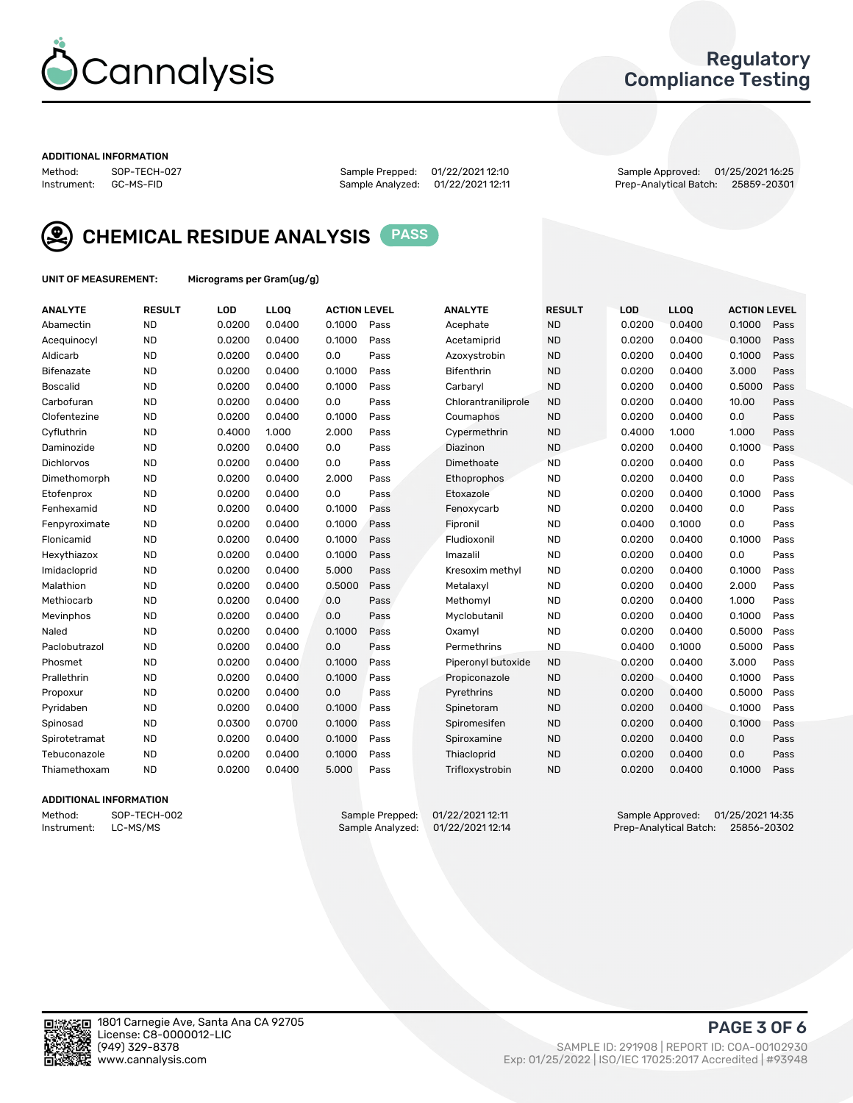

## Regulatory Compliance Testing

#### ADDITIONAL INFORMATION

Method: SOP-TECH-027 Sample Prepped: 01/22/2021 12:10 Sample Approved: 01/25/2021 16:25 Prep-Analytical Batch: 25859-20301



CHEMICAL RESIDUE ANALYSIS PASS

UNIT OF MEASUREMENT: Micrograms per Gram(ug/g)

| <b>ANALYTE</b>    | <b>RESULT</b> | LOD    | LLOQ   | <b>ACTION LEVEL</b> |      | <b>ANALYTE</b>      | <b>RESULT</b> | LOD    | <b>LLOQ</b> | <b>ACTION LEVEL</b> |      |
|-------------------|---------------|--------|--------|---------------------|------|---------------------|---------------|--------|-------------|---------------------|------|
| Abamectin         | <b>ND</b>     | 0.0200 | 0.0400 | 0.1000              | Pass | Acephate            | <b>ND</b>     | 0.0200 | 0.0400      | 0.1000              | Pass |
| Acequinocyl       | <b>ND</b>     | 0.0200 | 0.0400 | 0.1000              | Pass | Acetamiprid         | <b>ND</b>     | 0.0200 | 0.0400      | 0.1000              | Pass |
| Aldicarb          | <b>ND</b>     | 0.0200 | 0.0400 | 0.0                 | Pass | Azoxystrobin        | <b>ND</b>     | 0.0200 | 0.0400      | 0.1000              | Pass |
| Bifenazate        | <b>ND</b>     | 0.0200 | 0.0400 | 0.1000              | Pass | Bifenthrin          | <b>ND</b>     | 0.0200 | 0.0400      | 3.000               | Pass |
| <b>Boscalid</b>   | <b>ND</b>     | 0.0200 | 0.0400 | 0.1000              | Pass | Carbaryl            | <b>ND</b>     | 0.0200 | 0.0400      | 0.5000              | Pass |
| Carbofuran        | <b>ND</b>     | 0.0200 | 0.0400 | 0.0                 | Pass | Chlorantraniliprole | <b>ND</b>     | 0.0200 | 0.0400      | 10.00               | Pass |
| Clofentezine      | <b>ND</b>     | 0.0200 | 0.0400 | 0.1000              | Pass | Coumaphos           | <b>ND</b>     | 0.0200 | 0.0400      | 0.0                 | Pass |
| Cyfluthrin        | <b>ND</b>     | 0.4000 | 1.000  | 2.000               | Pass | Cypermethrin        | <b>ND</b>     | 0.4000 | 1.000       | 1.000               | Pass |
| Daminozide        | <b>ND</b>     | 0.0200 | 0.0400 | 0.0                 | Pass | Diazinon            | <b>ND</b>     | 0.0200 | 0.0400      | 0.1000              | Pass |
| <b>Dichlorvos</b> | <b>ND</b>     | 0.0200 | 0.0400 | 0.0                 | Pass | Dimethoate          | <b>ND</b>     | 0.0200 | 0.0400      | 0.0                 | Pass |
| Dimethomorph      | <b>ND</b>     | 0.0200 | 0.0400 | 2.000               | Pass | Ethoprophos         | <b>ND</b>     | 0.0200 | 0.0400      | 0.0                 | Pass |
| Etofenprox        | <b>ND</b>     | 0.0200 | 0.0400 | 0.0                 | Pass | Etoxazole           | <b>ND</b>     | 0.0200 | 0.0400      | 0.1000              | Pass |
| Fenhexamid        | <b>ND</b>     | 0.0200 | 0.0400 | 0.1000              | Pass | Fenoxycarb          | <b>ND</b>     | 0.0200 | 0.0400      | 0.0                 | Pass |
| Fenpyroximate     | <b>ND</b>     | 0.0200 | 0.0400 | 0.1000              | Pass | Fipronil            | <b>ND</b>     | 0.0400 | 0.1000      | 0.0                 | Pass |
| Flonicamid        | <b>ND</b>     | 0.0200 | 0.0400 | 0.1000              | Pass | Fludioxonil         | <b>ND</b>     | 0.0200 | 0.0400      | 0.1000              | Pass |
| Hexythiazox       | <b>ND</b>     | 0.0200 | 0.0400 | 0.1000              | Pass | Imazalil            | <b>ND</b>     | 0.0200 | 0.0400      | 0.0                 | Pass |
| Imidacloprid      | <b>ND</b>     | 0.0200 | 0.0400 | 5.000               | Pass | Kresoxim methyl     | <b>ND</b>     | 0.0200 | 0.0400      | 0.1000              | Pass |
| Malathion         | <b>ND</b>     | 0.0200 | 0.0400 | 0.5000              | Pass | Metalaxyl           | <b>ND</b>     | 0.0200 | 0.0400      | 2.000               | Pass |
| Methiocarb        | <b>ND</b>     | 0.0200 | 0.0400 | 0.0                 | Pass | Methomyl            | <b>ND</b>     | 0.0200 | 0.0400      | 1.000               | Pass |
| Mevinphos         | <b>ND</b>     | 0.0200 | 0.0400 | 0.0                 | Pass | Myclobutanil        | <b>ND</b>     | 0.0200 | 0.0400      | 0.1000              | Pass |
| Naled             | <b>ND</b>     | 0.0200 | 0.0400 | 0.1000              | Pass | Oxamyl              | <b>ND</b>     | 0.0200 | 0.0400      | 0.5000              | Pass |
| Paclobutrazol     | <b>ND</b>     | 0.0200 | 0.0400 | 0.0                 | Pass | Permethrins         | <b>ND</b>     | 0.0400 | 0.1000      | 0.5000              | Pass |
| Phosmet           | <b>ND</b>     | 0.0200 | 0.0400 | 0.1000              | Pass | Piperonyl butoxide  | <b>ND</b>     | 0.0200 | 0.0400      | 3.000               | Pass |
| Prallethrin       | <b>ND</b>     | 0.0200 | 0.0400 | 0.1000              | Pass | Propiconazole       | <b>ND</b>     | 0.0200 | 0.0400      | 0.1000              | Pass |
| Propoxur          | <b>ND</b>     | 0.0200 | 0.0400 | 0.0                 | Pass | Pyrethrins          | <b>ND</b>     | 0.0200 | 0.0400      | 0.5000              | Pass |
| Pyridaben         | <b>ND</b>     | 0.0200 | 0.0400 | 0.1000              | Pass | Spinetoram          | <b>ND</b>     | 0.0200 | 0.0400      | 0.1000              | Pass |
| Spinosad          | <b>ND</b>     | 0.0300 | 0.0700 | 0.1000              | Pass | Spiromesifen        | <b>ND</b>     | 0.0200 | 0.0400      | 0.1000              | Pass |
| Spirotetramat     | <b>ND</b>     | 0.0200 | 0.0400 | 0.1000              | Pass | Spiroxamine         | <b>ND</b>     | 0.0200 | 0.0400      | 0.0                 | Pass |
| Tebuconazole      | <b>ND</b>     | 0.0200 | 0.0400 | 0.1000              | Pass | Thiacloprid         | <b>ND</b>     | 0.0200 | 0.0400      | 0.0                 | Pass |
| Thiamethoxam      | <b>ND</b>     | 0.0200 | 0.0400 | 5.000               | Pass | Trifloxystrobin     | <b>ND</b>     | 0.0200 | 0.0400      | 0.1000              | Pass |
|                   |               |        |        |                     |      |                     |               |        |             |                     |      |

#### ADDITIONAL INFORMATION

Method: SOP-TECH-002 Sample Prepped: 01/22/2021 12:11 Sample Approved: 01/25/2021 14:35<br>Instrument: LC-MS/MS Sample Analyzed: 01/22/2021 12:14 Prep-Analytical Batch: 25856-20302 Prep-Analytical Batch: 25856-20302

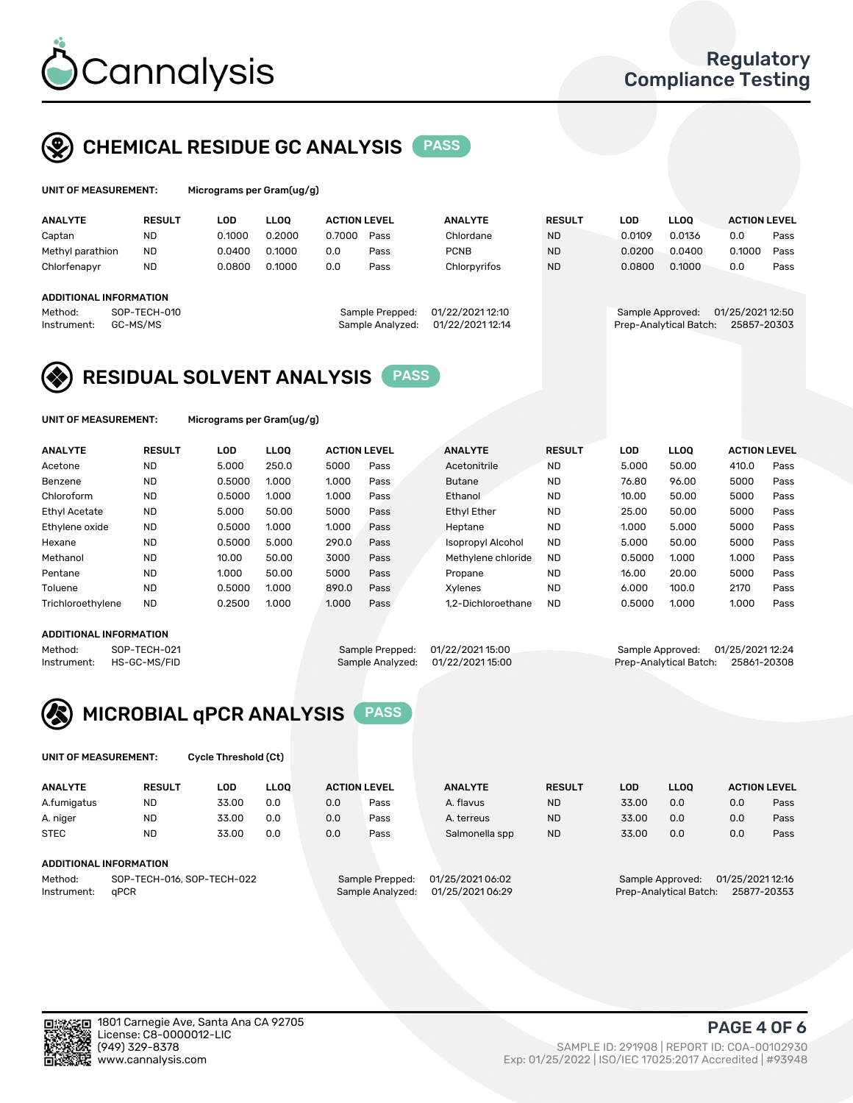

## CHEMICAL RESIDUE GC ANALYSIS PASS

| UNIT OF MEASUREMENT: | Microgram |
|----------------------|-----------|
|                      |           |

ns per Gram(ug/g)

| <b>ANALYTE</b>                | <b>RESULT</b> | LOD    | LLOO   | <b>ACTION LEVEL</b> |                  | <b>ANALYTE</b>   | <b>RESULT</b> | LOD              | <b>LLOO</b>            | <b>ACTION LEVEL</b> |      |
|-------------------------------|---------------|--------|--------|---------------------|------------------|------------------|---------------|------------------|------------------------|---------------------|------|
| Captan                        | <b>ND</b>     | 0.1000 | 0.2000 | 0.7000              | Pass             | Chlordane        | <b>ND</b>     | 0.0109           | 0.0136                 | 0.0                 | Pass |
| Methyl parathion              | <b>ND</b>     | 0.0400 | 0.1000 | 0.0                 | Pass             | <b>PCNB</b>      | <b>ND</b>     | 0.0200           | 0.0400                 | 0.1000              | Pass |
| Chlorfenapyr                  | <b>ND</b>     | 0.0800 | 0.1000 | 0.0                 | Pass             | Chlorpyrifos     | <b>ND</b>     | 0.0800           | 0.1000                 | 0.0                 | Pass |
|                               |               |        |        |                     |                  |                  |               |                  |                        |                     |      |
| <b>ADDITIONAL INFORMATION</b> |               |        |        |                     |                  |                  |               |                  |                        |                     |      |
| Method:                       | SOP-TECH-010  |        |        |                     | Sample Prepped:  | 01/22/2021 12:10 |               | Sample Approved: |                        | 01/25/2021 12:50    |      |
| Instrument:                   | GC-MS/MS      |        |        |                     | Sample Analyzed: | 01/22/2021 12:14 |               |                  | Prep-Analytical Batch: | 25857-20303         |      |
|                               |               |        |        |                     |                  |                  |               |                  |                        |                     |      |

## RESIDUAL SOLVENT ANALYSIS PASS

UNIT OF MEASUREMENT: Micrograms per Gram(ug/g)

| <b>ANALYTE</b>       | <b>RESULT</b> | LOD    | <b>LLOO</b> | <b>ACTION LEVEL</b> |      | <b>ANALYTE</b>           | <b>RESULT</b> | LOD    | LLOO  | <b>ACTION LEVEL</b> |      |
|----------------------|---------------|--------|-------------|---------------------|------|--------------------------|---------------|--------|-------|---------------------|------|
| Acetone              | <b>ND</b>     | 5.000  | 250.0       | 5000                | Pass | Acetonitrile             | <b>ND</b>     | 5.000  | 50.00 | 410.0               | Pass |
| Benzene              | <b>ND</b>     | 0.5000 | 1.000       | 1.000               | Pass | <b>Butane</b>            | <b>ND</b>     | 76.80  | 96.00 | 5000                | Pass |
| Chloroform           | <b>ND</b>     | 0.5000 | 1.000       | 1.000               | Pass | Ethanol                  | <b>ND</b>     | 10.00  | 50.00 | 5000                | Pass |
| <b>Ethyl Acetate</b> | <b>ND</b>     | 5.000  | 50.00       | 5000                | Pass | <b>Ethyl Ether</b>       | <b>ND</b>     | 25.00  | 50.00 | 5000                | Pass |
| Ethylene oxide       | <b>ND</b>     | 0.5000 | 1.000       | 1.000               | Pass | Heptane                  | <b>ND</b>     | 1.000  | 5.000 | 5000                | Pass |
| Hexane               | <b>ND</b>     | 0.5000 | 5.000       | 290.0               | Pass | <b>Isopropyl Alcohol</b> | <b>ND</b>     | 5.000  | 50.00 | 5000                | Pass |
| Methanol             | <b>ND</b>     | 10.00  | 50.00       | 3000                | Pass | Methylene chloride       | <b>ND</b>     | 0.5000 | 1.000 | 1.000               | Pass |
| Pentane              | <b>ND</b>     | 1.000  | 50.00       | 5000                | Pass | Propane                  | <b>ND</b>     | 16.00  | 20.00 | 5000                | Pass |
| Toluene              | <b>ND</b>     | 0.5000 | 1.000       | 890.0               | Pass | Xvlenes                  | <b>ND</b>     | 6.000  | 100.0 | 2170                | Pass |
| Trichloroethylene    | <b>ND</b>     | 0.2500 | 1.000       | 1.000               | Pass | 1.2-Dichloroethane       | <b>ND</b>     | 0.5000 | 1.000 | 1.000               | Pass |

#### ADDITIONAL INFORMATION

Method: SOP-TECH-021 Sample Prepped: 01/22/2021 15:00 Sample Approved: 01/25/2021 12:24<br>Instrument: HS-GC-MS/FID Sample Analyzed: 01/22/2021 15:00 Prep-Analytical Batch: 25861-20308 Prep-Analytical Batch: 25861-20308



UNIT OF MEASUREMENT: Cycle Threshold (Ct)

| <b>ANALYTE</b>         | <b>RESULT</b>              | LOD   | <b>LLOO</b> | <b>ACTION LEVEL</b> |                  | <b>ANALYTE</b>   | <b>RESULT</b> | LOD   | <b>LLOO</b>            |                  | <b>ACTION LEVEL</b> |
|------------------------|----------------------------|-------|-------------|---------------------|------------------|------------------|---------------|-------|------------------------|------------------|---------------------|
| A.fumigatus            | <b>ND</b>                  | 33.00 | 0.0         | 0.0                 | Pass             | A. flavus        | <b>ND</b>     | 33.00 | 0.0                    | 0.0              | Pass                |
| A. niger               | <b>ND</b>                  | 33.00 | 0.0         | 0.0                 | Pass             | A. terreus       | <b>ND</b>     | 33.00 | 0.0                    | 0.0              | Pass                |
| <b>STEC</b>            | <b>ND</b>                  | 33.00 | 0.0         | 0.0                 | Pass             | Salmonella spp   | <b>ND</b>     | 33.00 | 0.0                    | 0.0              | Pass                |
| ADDITIONAL INFORMATION |                            |       |             |                     |                  |                  |               |       |                        |                  |                     |
| Method:                | SOP-TECH-016, SOP-TECH-022 |       |             |                     | Sample Prepped:  | 01/25/2021 06:02 |               |       | Sample Approved:       | 01/25/2021 12:16 |                     |
| Instrument:            | aPCR                       |       |             |                     | Sample Analyzed: | 01/25/2021 06:29 |               |       | Prep-Analytical Batch: |                  | 25877-20353         |

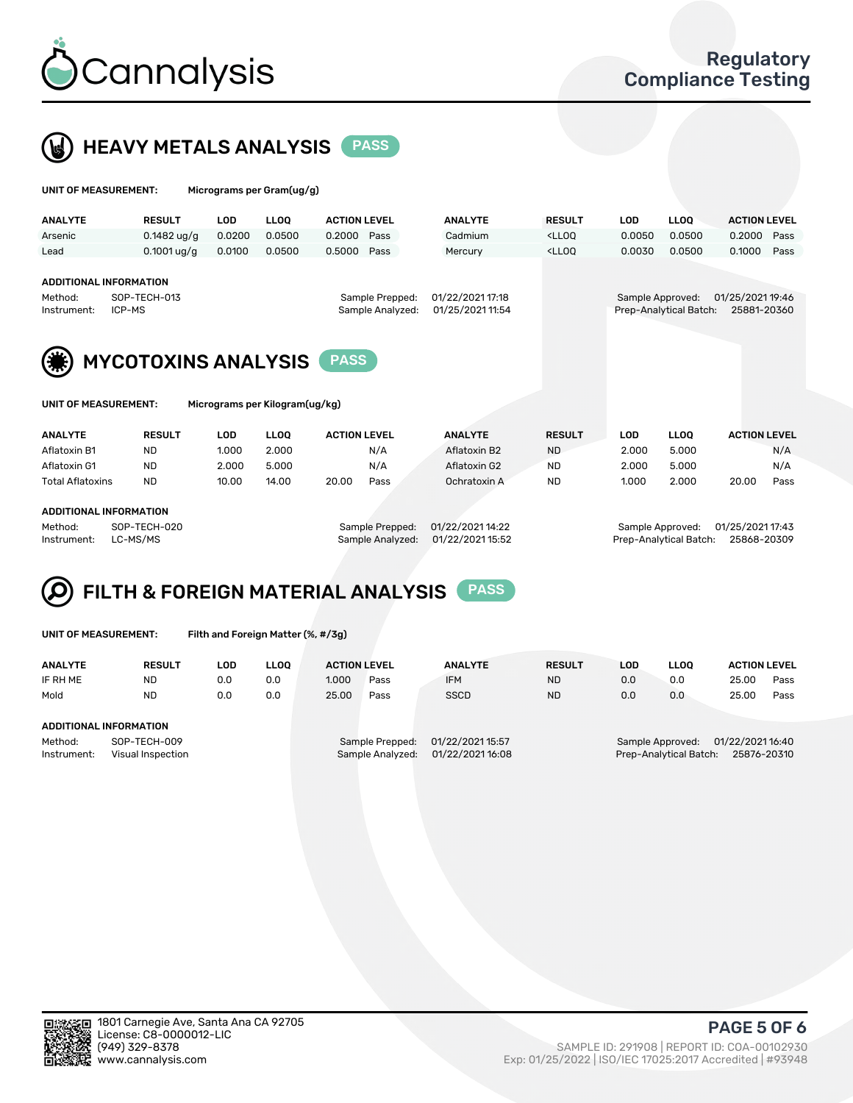



| UNIT OF MEASUREMENT: | Micrograms per Gram(ug/g) |
|----------------------|---------------------------|
|                      |                           |

|                                                                                                     | <b>RESULT</b>          | LOD        | LLOQ                                | <b>ACTION LEVEL</b> |                  | <b>ANALYTE</b>   | <b>RESULT</b>                                                                   | LOD        | <b>LLOQ</b>                     | <b>ACTION LEVEL</b> |      |
|-----------------------------------------------------------------------------------------------------|------------------------|------------|-------------------------------------|---------------------|------------------|------------------|---------------------------------------------------------------------------------|------------|---------------------------------|---------------------|------|
| Arsenic                                                                                             | $0.1482$ ug/g          | 0.0200     | 0.0500                              | 0.2000              | Pass             | Cadmium          | <lloq< td=""><td>0.0050</td><td>0.0500</td><td>0.2000</td><td>Pass</td></lloq<> | 0.0050     | 0.0500                          | 0.2000              | Pass |
| Lead                                                                                                | $0.1001$ ug/g          | 0.0100     | 0.0500                              | 0.5000              | Pass             | Mercury          | <lloq< td=""><td>0.0030</td><td>0.0500</td><td>0.1000</td><td>Pass</td></lloq<> | 0.0030     | 0.0500                          | 0.1000              | Pass |
| <b>ADDITIONAL INFORMATION</b><br>Method:                                                            |                        |            |                                     |                     |                  | 01/22/2021 17:18 |                                                                                 |            |                                 |                     |      |
| Instrument:                                                                                         | SOP-TECH-013<br>ICP-MS |            | Sample Prepped:<br>Sample Analyzed: |                     | 01/25/2021 11:54 |                  | Sample Approved:<br>Prep-Analytical Batch:                                      |            | 01/25/2021 19:46<br>25881-20360 |                     |      |
| <b>MYCOTOXINS ANALYSIS</b><br><b>PASS</b><br>Micrograms per Kilogram(ug/kg)<br>UNIT OF MEASUREMENT: |                        |            |                                     |                     |                  |                  |                                                                                 |            |                                 |                     |      |
|                                                                                                     |                        |            |                                     |                     |                  |                  |                                                                                 |            |                                 |                     |      |
| <b>ANALYTE</b>                                                                                      | <b>RESULT</b>          | <b>LOD</b> | <b>LLOO</b>                         | <b>ACTION LEVEL</b> |                  | <b>ANALYTE</b>   | <b>RESULT</b>                                                                   | <b>LOD</b> | <b>LLOQ</b>                     | <b>ACTION LEVEL</b> |      |
| Aflatoxin B1                                                                                        | <b>ND</b>              | 1.000      | 2.000                               |                     | N/A              | Aflatoxin B2     | <b>ND</b>                                                                       | 2.000      | 5.000                           |                     | N/A  |
| Aflatoxin G1                                                                                        | <b>ND</b>              | 2.000      | 5.000                               |                     | N/A              | Aflatoxin G2     | <b>ND</b>                                                                       | 2.000      | 5.000                           |                     | N/A  |
| <b>Total Aflatoxins</b>                                                                             | <b>ND</b>              | 10.00      | 14.00                               | 20.00               | Pass             | Ochratoxin A     | <b>ND</b>                                                                       | 1.000      | 2.000                           | 20.00               | Pass |
| <b>ADDITIONAL INFORMATION</b>                                                                       |                        |            |                                     |                     |                  |                  |                                                                                 |            |                                 |                     |      |

Instrument: LC-MS/MS Sample Analyzed: 01/22/2021 15:52 Prep-Analytical Batch: 25868-20309

FILTH & FOREIGN MATERIAL ANALYSIS PASS Q

UNIT OF MEASUREMENT: Filth and Foreign Matter (%, #/3g)

| <b>ANALYTE</b>                                              | <b>RESULT</b> | LOD | <b>LLOO</b> | <b>ACTION LEVEL</b> |                                     | <b>ANALYTE</b>                       | <b>RESULT</b> | LOD | <b>LLOO</b>                                | <b>ACTION LEVEL</b>             |      |
|-------------------------------------------------------------|---------------|-----|-------------|---------------------|-------------------------------------|--------------------------------------|---------------|-----|--------------------------------------------|---------------------------------|------|
| IF RH ME                                                    | ND            | 0.0 | 0.0         | 1.000               | Pass                                | <b>IFM</b>                           | <b>ND</b>     | 0.0 | 0.0                                        | 25.00                           | Pass |
| Mold                                                        | <b>ND</b>     | 0.0 | 0.0         | 25.00               | Pass                                | <b>SSCD</b>                          | <b>ND</b>     | 0.0 | 0.0                                        | 25.00                           | Pass |
| ADDITIONAL INFORMATION                                      |               |     |             |                     |                                     |                                      |               |     |                                            |                                 |      |
| SOP-TECH-009<br>Method:<br>Instrument:<br>Visual Inspection |               |     |             |                     | Sample Prepped:<br>Sample Analyzed: | 01/22/2021 15:57<br>01/22/2021 16:08 |               |     | Sample Approved:<br>Prep-Analytical Batch: | 01/22/2021 16:40<br>25876-20310 |      |